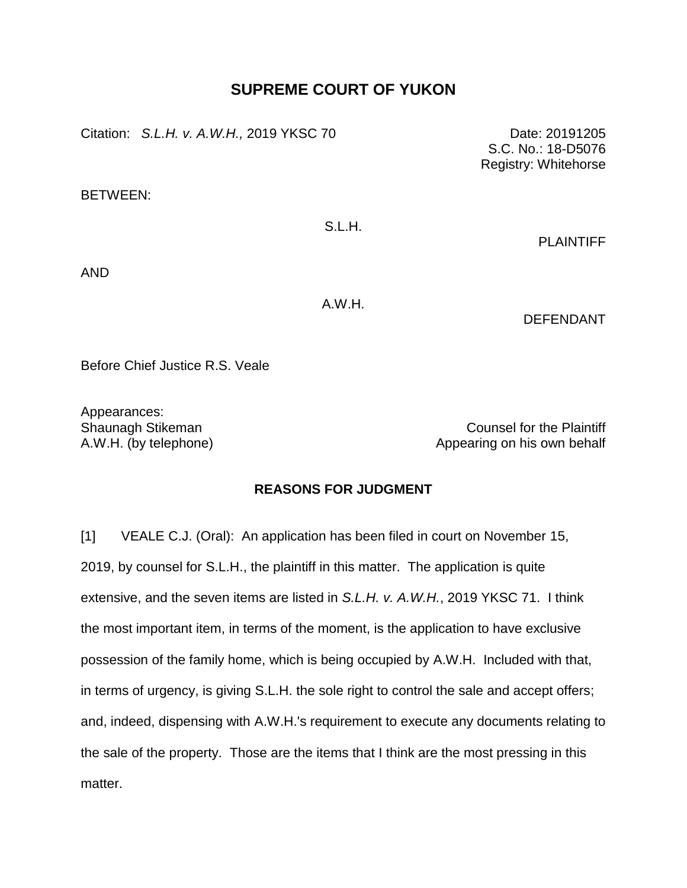## **SUPREME COURT OF YUKON**

Citation: *S.L.H. v. A.W.H.,* 2019 YKSC 70 Date: 20191205

BETWEEN:

## S.L.H.

PLAINTIFF

S.C. No.: 18-D5076 Registry: Whitehorse

AND

A.W.H.

DEFENDANT

Before Chief Justice R.S. Veale

Appearances:

Shaunagh Stikeman Counsel for the Plaintiff A.W.H. (by telephone) and appearing on his own behalf

## **REASONS FOR JUDGMENT**

[1] VEALE C.J. (Oral): An application has been filed in court on November 15, 2019, by counsel for S.L.H., the plaintiff in this matter. The application is quite extensive, and the seven items are listed in *S.L.H. v. A.W.H.*, 2019 YKSC 71. I think the most important item, in terms of the moment, is the application to have exclusive possession of the family home, which is being occupied by A.W.H. Included with that, in terms of urgency, is giving S.L.H. the sole right to control the sale and accept offers; and, indeed, dispensing with A.W.H.'s requirement to execute any documents relating to the sale of the property. Those are the items that I think are the most pressing in this matter.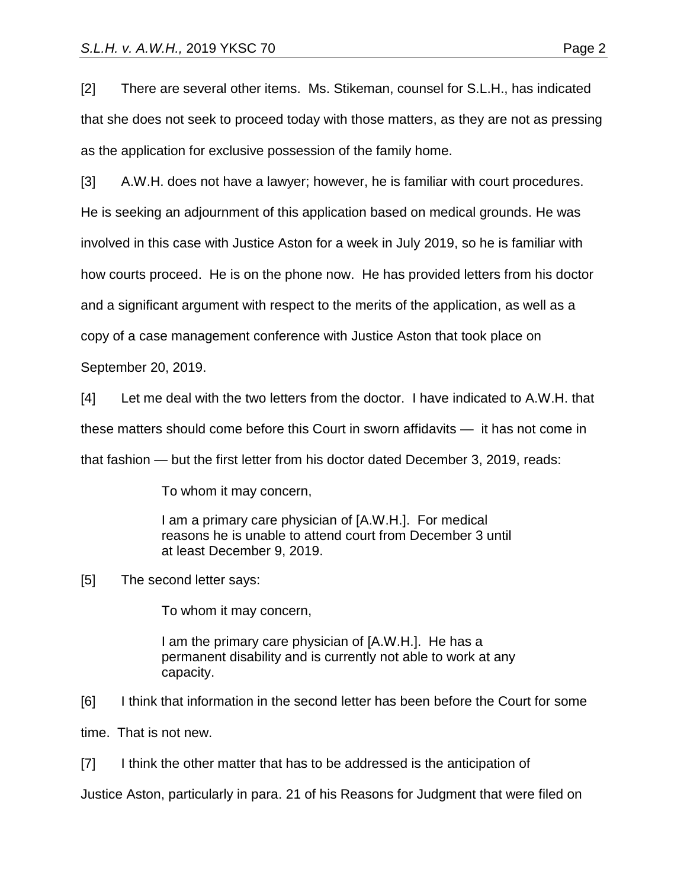[2] There are several other items. Ms. Stikeman, counsel for S.L.H., has indicated that she does not seek to proceed today with those matters, as they are not as pressing as the application for exclusive possession of the family home.

[3] A.W.H. does not have a lawyer; however, he is familiar with court procedures. He is seeking an adjournment of this application based on medical grounds. He was involved in this case with Justice Aston for a week in July 2019, so he is familiar with how courts proceed. He is on the phone now. He has provided letters from his doctor and a significant argument with respect to the merits of the application, as well as a copy of a case management conference with Justice Aston that took place on

September 20, 2019.

[4] Let me deal with the two letters from the doctor. I have indicated to A.W.H. that

these matters should come before this Court in sworn affidavits — it has not come in

that fashion — but the first letter from his doctor dated December 3, 2019, reads:

To whom it may concern,

I am a primary care physician of [A.W.H.]. For medical reasons he is unable to attend court from December 3 until at least December 9, 2019.

[5] The second letter says:

To whom it may concern,

I am the primary care physician of [A.W.H.]. He has a permanent disability and is currently not able to work at any capacity.

[6] I think that information in the second letter has been before the Court for some time. That is not new.

[7] I think the other matter that has to be addressed is the anticipation of

Justice Aston, particularly in para. 21 of his Reasons for Judgment that were filed on